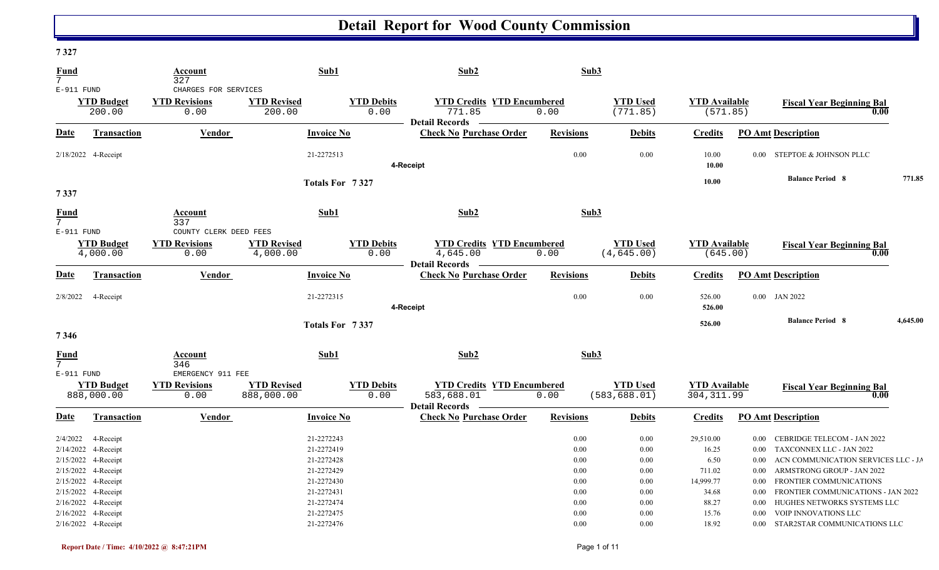#### **7 327**

| <b>Fund</b><br>$7\overline{ }$                                                                                    |                                 | <b>Account</b><br>327                                  |                                  | Sub1                                                                             | Sub2                                                                   |                                              | Sub3                                         |                                                            |                                                  |                                                                                                                                                                                                    |          |
|-------------------------------------------------------------------------------------------------------------------|---------------------------------|--------------------------------------------------------|----------------------------------|----------------------------------------------------------------------------------|------------------------------------------------------------------------|----------------------------------------------|----------------------------------------------|------------------------------------------------------------|--------------------------------------------------|----------------------------------------------------------------------------------------------------------------------------------------------------------------------------------------------------|----------|
| $E-911$ FUND                                                                                                      | <b>YTD Budget</b><br>200.00     | CHARGES FOR SERVICES<br><b>YTD Revisions</b><br>0.00   | <b>YTD Revised</b><br>200.00     | <b>YTD Debits</b><br>0.00                                                        | <b>YTD Credits YTD Encumbered</b><br>771.85                            | 0.00                                         | <b>YTD Used</b><br>(771.85)                  | <b>YTD</b> Available<br>(571.85)                           |                                                  | <b>Fiscal Year Beginning Bal</b><br>0.00                                                                                                                                                           |          |
| Date                                                                                                              | Transaction                     | <b>Vendor</b>                                          |                                  | <b>Invoice No</b>                                                                | <b>Detail Records</b><br><b>Check No Purchase Order</b>                | <b>Revisions</b>                             | <b>Debits</b>                                | <b>Credits</b>                                             |                                                  | <b>PO Amt Description</b>                                                                                                                                                                          |          |
| 2/18/2022 4-Receipt                                                                                               |                                 |                                                        |                                  | 21-2272513                                                                       | 4-Receipt                                                              | 0.00                                         | 0.00                                         | 10.00<br>10.00                                             |                                                  | 0.00 STEPTOE & JOHNSON PLLC                                                                                                                                                                        |          |
| 7337                                                                                                              |                                 |                                                        |                                  | Totals For 7327                                                                  |                                                                        |                                              |                                              | 10.00                                                      |                                                  | <b>Balance Period 8</b>                                                                                                                                                                            | 771.85   |
| <b>Fund</b><br>7 <sup>7</sup>                                                                                     |                                 | Account<br>337                                         |                                  | Sub1                                                                             | Sub2                                                                   |                                              | Sub3                                         |                                                            |                                                  |                                                                                                                                                                                                    |          |
| E-911 FUND                                                                                                        | <b>YTD Budget</b><br>4,000.00   | COUNTY CLERK DEED FEES<br><b>YTD Revisions</b><br>0.00 | <b>YTD Revised</b><br>4,000.00   | <b>YTD Debits</b><br>0.00                                                        | <b>YTD Credits YTD Encumbered</b><br>4,645.00<br><b>Detail Records</b> | 0.00                                         | <b>YTD Used</b><br>(4, 645.00)               | <b>YTD Available</b><br>(645.00)                           |                                                  | <b>Fiscal Year Beginning Bal</b><br>0.00                                                                                                                                                           |          |
| <b>Date</b>                                                                                                       | <b>Transaction</b>              | Vendor                                                 |                                  | <b>Invoice No</b>                                                                | <b>Check No Purchase Order</b>                                         | <b>Revisions</b>                             | <b>Debits</b>                                | <b>Credits</b>                                             |                                                  | <b>PO Amt Description</b>                                                                                                                                                                          |          |
| 2/8/2022 4-Receipt                                                                                                |                                 |                                                        |                                  | 21-2272315                                                                       | 4-Receipt                                                              | 0.00                                         | 0.00                                         | 526.00<br>526.00                                           |                                                  | $0.00$ JAN 2022                                                                                                                                                                                    |          |
| 7346                                                                                                              |                                 |                                                        |                                  | Totals For 7337                                                                  |                                                                        |                                              |                                              | 526.00                                                     |                                                  | <b>Balance Period 8</b>                                                                                                                                                                            | 4,645.00 |
| <b>Fund</b><br>7                                                                                                  |                                 | Account<br>346                                         |                                  | Sub1                                                                             | Sub2                                                                   |                                              | Sub3                                         |                                                            |                                                  |                                                                                                                                                                                                    |          |
| $E-911$ FUND                                                                                                      | <b>YTD Budget</b><br>888,000.00 | EMERGENCY 911 FEE<br><b>YTD Revisions</b><br>0.00      | <b>YTD Revised</b><br>888,000.00 | <b>YTD Debits</b><br>0.00                                                        | <b>YTD Credits YTD Encumbered</b><br>583,688.01<br>Detail Records      | 0.00                                         | <b>YTD Used</b><br>(583, 688.01)             | <b>YTD Available</b><br>304, 311.99                        |                                                  | <b>Fiscal Year Beginning Bal</b><br>0.00                                                                                                                                                           |          |
| Date                                                                                                              | <b>Transaction</b>              | <b>Vendor</b>                                          |                                  | <b>Invoice No</b>                                                                | <b>Check No Purchase Order</b>                                         | <b>Revisions</b>                             | <b>Debits</b>                                | <b>Credits</b>                                             |                                                  | <b>PO Amt Description</b>                                                                                                                                                                          |          |
| 2/4/2022<br>2/14/2022<br>2/15/2022 4-Receipt<br>2/15/2022 4-Receipt<br>2/15/2022 4-Receipt<br>2/15/2022 4-Receipt | 4-Receipt<br>4-Receipt          |                                                        |                                  | 21-2272243<br>21-2272419<br>21-2272428<br>21-2272429<br>21-2272430<br>21-2272431 |                                                                        | 0.00<br>0.00<br>0.00<br>0.00<br>0.00<br>0.00 | 0.00<br>0.00<br>0.00<br>0.00<br>0.00<br>0.00 | 29,510.00<br>16.25<br>6.50<br>711.02<br>14,999.77<br>34.68 | 0.00<br>$0.00\,$<br>$0.00\,$<br>$0.00\,$<br>0.00 | 0.00 CEBRIDGE TELECOM - JAN 2022<br>TAXCONNEX LLC - JAN 2022<br>ACN COMMUNICATION SERVICES LLC - JA<br>ARMSTRONG GROUP - JAN 2022<br>FRONTIER COMMUNICATIONS<br>FRONTIER COMMUNICATIONS - JAN 2022 |          |
| 2/16/2022 4-Receipt<br>2/16/2022 4-Receipt<br>2/16/2022 4-Receipt                                                 |                                 |                                                        |                                  | 21-2272474<br>21-2272475<br>21-2272476                                           |                                                                        | 0.00<br>0.00<br>0.00                         | 0.00<br>0.00<br>0.00                         | 88.27<br>15.76<br>18.92                                    | $0.00\,$<br>0.00                                 | HUGHES NETWORKS SYSTEMS LLC<br>VOIP INNOVATIONS LLC<br>0.00 STAR2STAR COMMUNICATIONS LLC                                                                                                           |          |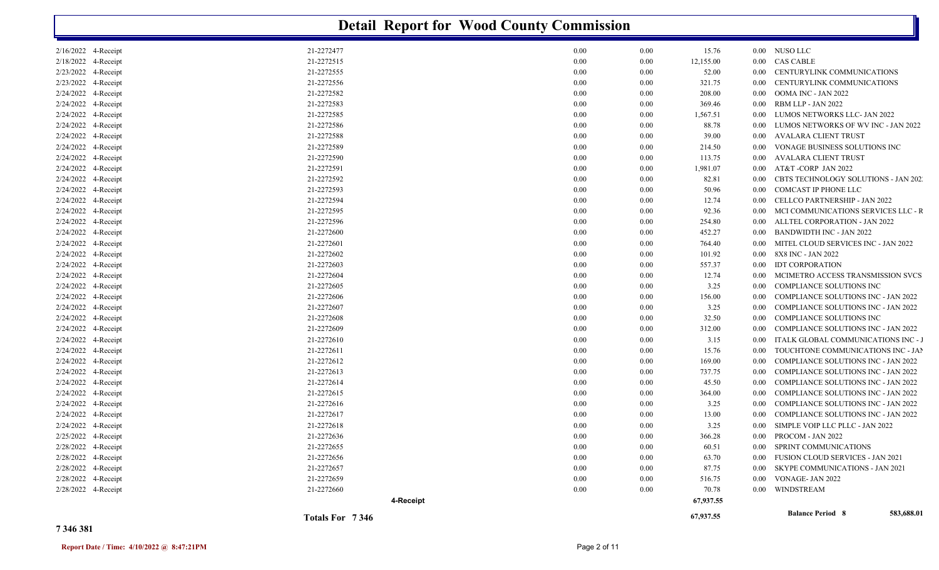|                     |                 | <b>Detail Report for Wood County Commission</b> |                    |                   |                                            |
|---------------------|-----------------|-------------------------------------------------|--------------------|-------------------|--------------------------------------------|
| 2/16/2022 4-Receipt | 21-2272477      | 0.00                                            | 0.00<br>15.76      |                   | 0.00 NUSO LLC                              |
| 2/18/2022 4-Receipt | 21-2272515      | 0.00                                            | 0.00<br>12,155.00  |                   | 0.00 CAS CABLE                             |
| 2/23/2022 4-Receipt | 21-2272555      | 0.00                                            | 0.00<br>52.00      | $0.00\,$          | CENTURYLINK COMMUNICATIONS                 |
| 2/23/2022 4-Receipt | 21-2272556      | 0.00                                            | 0.00<br>321.75     | $0.00\,$          | CENTURYLINK COMMUNICATIONS                 |
| 2/24/2022 4-Receipt | 21-2272582      | 0.00                                            | 0.00<br>208.00     | $0.00\,$          | OOMA INC - JAN 2022                        |
| 2/24/2022 4-Receipt | 21-2272583      | 0.00                                            | 0.00<br>369.46     | $0.00\,$          | RBM LLP - JAN 2022                         |
| 2/24/2022 4-Receipt | 21-2272585      | 0.00                                            | 0.00<br>1,567.51   | $0.00\,$          | LUMOS NETWORKS LLC- JAN 2022               |
| 2/24/2022 4-Receipt | 21-2272586      | 0.00                                            | 0.00<br>88.78      | 0.00              | LUMOS NETWORKS OF WV INC - JAN 2022        |
| 2/24/2022 4-Receipt | 21-2272588      | 0.00                                            | 0.00<br>39.00      | 0.00 <sub>1</sub> | <b>AVALARA CLIENT TRUST</b>                |
| 2/24/2022 4-Receipt | 21-2272589      | 0.00                                            | 0.00<br>214.50     | $0.00\,$          | VONAGE BUSINESS SOLUTIONS INC              |
| 2/24/2022 4-Receipt | 21-2272590      | 0.00                                            | 0.00<br>113.75     | 0.00 <sub>1</sub> | AVALARA CLIENT TRUST                       |
| 2/24/2022 4-Receipt | 21-2272591      | 0.00                                            | 0.00<br>1,981.07   | $0.00\,$          | AT&T -CORP JAN 2022                        |
| 2/24/2022 4-Receipt | 21-2272592      | 0.00                                            | 0.00<br>82.81      | 0.00              | CBTS TECHNOLOGY SOLUTIONS - JAN 202        |
| 2/24/2022 4-Receipt | 21-2272593      | 0.00                                            | 0.00<br>50.96      | $0.00\,$          | COMCAST IP PHONE LLC                       |
| 2/24/2022 4-Receipt | 21-2272594      | 0.00                                            | 0.00<br>12.74      | 0.00              | CELLCO PARTNERSHIP - JAN 2022              |
| 2/24/2022 4-Receipt | 21-2272595      | 0.00                                            | 0.00<br>92.36      | 0.00              | MCI COMMUNICATIONS SERVICES LLC - R        |
| 2/24/2022 4-Receipt | 21-2272596      | 0.00                                            | 0.00<br>254.80     | 0.00              | ALLTEL CORPORATION - JAN 2022              |
| 2/24/2022 4-Receipt | 21-2272600      | 0.00                                            | 0.00<br>452.27     | 0.00              | <b>BANDWIDTH INC - JAN 2022</b>            |
| 2/24/2022 4-Receipt | 21-2272601      | 0.00                                            | 0.00<br>764.40     | 0.00              | MITEL CLOUD SERVICES INC - JAN 2022        |
| 2/24/2022 4-Receipt | 21-2272602      | 0.00                                            | 0.00<br>101.92     | $0.00\,$          | 8X8 INC - JAN 2022                         |
| 2/24/2022 4-Receipt | 21-2272603      | 0.00                                            | 0.00<br>557.37     | 0.00              | <b>IDT CORPORATION</b>                     |
| 2/24/2022 4-Receipt | 21-2272604      | 0.00                                            | 0.00<br>12.74      | $0.00\,$          | MCIMETRO ACCESS TRANSMISSION SVCS          |
| 2/24/2022 4-Receipt | 21-2272605      | 0.00                                            | 0.00<br>3.25       | $0.00\,$          | COMPLIANCE SOLUTIONS INC                   |
| 2/24/2022 4-Receipt | 21-2272606      | 0.00                                            | 0.00<br>156.00     | $0.00\,$          | COMPLIANCE SOLUTIONS INC - JAN 2022        |
| 2/24/2022 4-Receipt | 21-2272607      | 0.00                                            | 0.00<br>3.25       | 0.00              | <b>COMPLIANCE SOLUTIONS INC - JAN 2022</b> |
| 2/24/2022 4-Receipt | 21-2272608      | 0.00                                            | 0.00<br>32.50      | $0.00\,$          | COMPLIANCE SOLUTIONS INC                   |
| 2/24/2022 4-Receipt | 21-2272609      | 0.00                                            | 0.00<br>312.00     | 0.00              | <b>COMPLIANCE SOLUTIONS INC - JAN 2022</b> |
| 2/24/2022 4-Receipt | 21-2272610      | 0.00                                            | 0.00<br>3.15       | 0.00              | ITALK GLOBAL COMMUNICATIONS INC -          |
| 2/24/2022 4-Receipt | 21-2272611      | 0.00                                            | 0.00<br>15.76      | 0.00              | TOUCHTONE COMMUNICATIONS INC - JAI         |
| 2/24/2022 4-Receipt | 21-2272612      | 0.00                                            | 0.00<br>169.00     | 0.00              | COMPLIANCE SOLUTIONS INC - JAN 2022        |
| 2/24/2022 4-Receipt | 21-2272613      | 0.00                                            | 0.00<br>737.75     | 0.00              | COMPLIANCE SOLUTIONS INC - JAN 2022        |
| 2/24/2022 4-Receipt | 21-2272614      | 0.00                                            | 0.00<br>45.50      | 0.00              | <b>COMPLIANCE SOLUTIONS INC - JAN 2022</b> |
| 2/24/2022 4-Receipt | 21-2272615      | 0.00                                            | 0.00<br>364.00     | 0.00              | <b>COMPLIANCE SOLUTIONS INC - JAN 2022</b> |
| 2/24/2022 4-Receipt | 21-2272616      | 0.00                                            | 0.00<br>3.25       | 0.00              | <b>COMPLIANCE SOLUTIONS INC - JAN 2022</b> |
| 2/24/2022 4-Receipt | 21-2272617      | 0.00                                            | 0.00<br>13.00      | $0.00\,$          | <b>COMPLIANCE SOLUTIONS INC - JAN 2022</b> |
| 2/24/2022 4-Receipt | 21-2272618      | 0.00                                            | 0.00<br>3.25       |                   | 0.00 SIMPLE VOIP LLC PLLC - JAN 2022       |
| 2/25/2022 4-Receipt | 21-2272636      | $0.00\,$                                        | 366.28<br>$0.00\,$ |                   | 0.00 PROCOM - JAN 2022                     |
| 2/28/2022 4-Receipt | 21-2272655      | 0.00                                            | 0.00<br>60.51      |                   | 0.00 SPRINT COMMUNICATIONS                 |
| 2/28/2022 4-Receipt | 21-2272656      | 0.00                                            | 0.00<br>63.70      | $0.00\,$          | FUSION CLOUD SERVICES - JAN 2021           |
| 2/28/2022 4-Receipt | 21-2272657      | 0.00                                            | 0.00<br>87.75      | $0.00\,$          | <b>SKYPE COMMUNICATIONS - JAN 2021</b>     |
| 2/28/2022 4-Receipt | 21-2272659      | 0.00                                            |                    | $0.00\,$          |                                            |
|                     |                 |                                                 | 0.00<br>516.75     |                   | VONAGE- JAN 2022                           |
| 2/28/2022 4-Receipt | 21-2272660      | 0.00                                            | 0.00<br>70.78      |                   | 0.00 WINDSTREAM                            |
|                     | 4-Receipt       |                                                 | 67,937.55          |                   |                                            |
|                     | Totals For 7346 |                                                 | 67,937.55          |                   | <b>Balance Period 8</b><br>583,688.01      |

#### **7 346 381**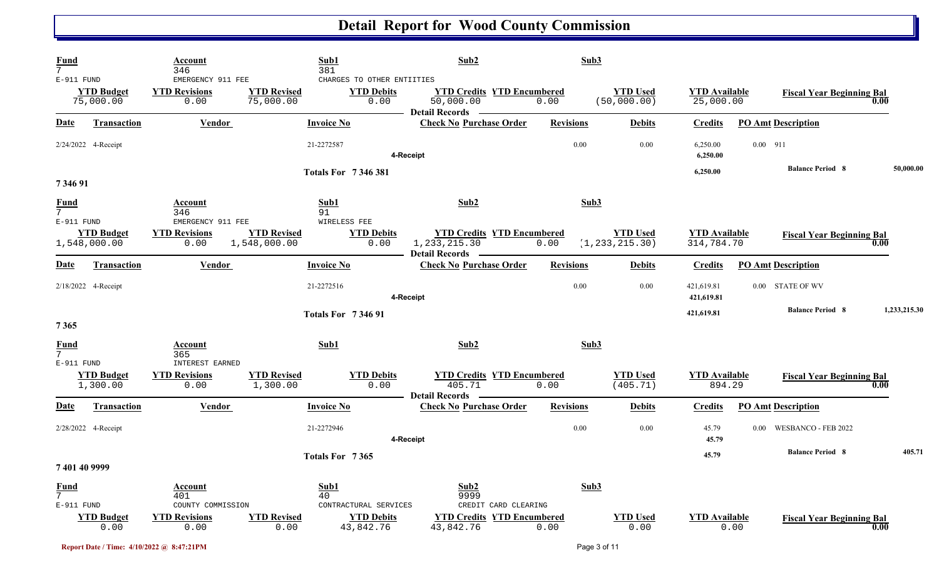| Fund<br>7                      |                                   | Account<br>346                                    |                                    | Sub1<br>381                                             | Sub2                                                                   | Sub3             |                                     |                                    |                                       |              |
|--------------------------------|-----------------------------------|---------------------------------------------------|------------------------------------|---------------------------------------------------------|------------------------------------------------------------------------|------------------|-------------------------------------|------------------------------------|---------------------------------------|--------------|
| E-911 FUND                     | <b>YTD Budget</b><br>75,000.00    | EMERGENCY 911 FEE<br><b>YTD Revisions</b><br>0.00 | <b>YTD Revised</b><br>75,000.00    | CHARGES TO OTHER ENTIITIES<br><b>YTD Debits</b><br>0.00 | <b>YTD Credits YTD Encumbered</b><br>50,000.00<br>Detail Records —     | 0.00             | <b>YTD</b> Used<br>(50,000.00)      | <b>YTD Available</b><br>25,000.00  | <b>Fiscal Year Beginning Bal</b>      | 0.00         |
| Date                           | <b>Transaction</b>                | <b>Vendor</b>                                     |                                    | <b>Invoice No</b>                                       | <b>Check No Purchase Order</b>                                         | <b>Revisions</b> | <b>Debits</b>                       | <b>Credits</b>                     | <b>PO Amt Description</b>             |              |
|                                | 2/24/2022 4-Receipt               |                                                   |                                    | 21-2272587                                              | 4-Receipt                                                              | 0.00             | 0.00                                | 6,250.00<br>6,250.00               | $0.00$ 911                            |              |
| 7 346 91                       |                                   |                                                   |                                    | <b>Totals For 7346381</b>                               |                                                                        |                  |                                     | 6,250.00                           | <b>Balance Period 8</b>               | 50,000.00    |
| <b>Fund</b><br>$\overline{7}$  |                                   | Account<br>346                                    |                                    | Sub1<br>91                                              | Sub2                                                                   | Sub3             |                                     |                                    |                                       |              |
| $E-911$ FUND                   | <b>YTD Budget</b><br>1,548,000.00 | EMERGENCY 911 FEE<br><b>YTD Revisions</b><br>0.00 | <b>YTD Revised</b><br>1,548,000.00 | WIRELESS FEE<br><b>YTD Debits</b><br>0.00               | <b>YTD Credits YTD Encumbered</b><br>1, 233, 215.30                    | 0.00             | <b>YTD Used</b><br>(1, 233, 215.30) | <b>YTD</b> Available<br>314,784.70 | <b>Fiscal Year Beginning Bal</b>      | 0.00         |
| Date                           | Transaction                       | Vendor                                            |                                    | <b>Invoice No</b>                                       | Detail Records -<br><b>Check No Purchase Order</b>                     | <b>Revisions</b> | <b>Debits</b>                       | <b>Credits</b>                     | <b>PO Amt Description</b>             |              |
|                                | 2/18/2022 4-Receipt               |                                                   |                                    | 21-2272516                                              | 4-Receipt                                                              | 0.00             | 0.00                                | 421,619.81<br>421,619.81           | 0.00 STATE OF WV                      |              |
| 7365                           |                                   |                                                   |                                    | <b>Totals For 734691</b>                                |                                                                        |                  |                                     | 421,619.81                         | <b>Balance Period 8</b>               | 1,233,215.30 |
| Fund<br>$\overline{7}$         |                                   | Account<br>365<br><b>INTEREST EARNED</b>          |                                    | Sub1                                                    | Sub <sub>2</sub>                                                       | Sub3             |                                     |                                    |                                       |              |
| E-911 FUND                     | <b>YTD Budget</b><br>1,300.00     | <b>YTD Revisions</b><br>0.00                      | <b>YTD Revised</b><br>1,300.00     | <b>YTD Debits</b><br>0.00                               | <b>YTD Credits YTD Encumbered</b><br>405.71                            | 0.00             | <b>YTD</b> Used<br>(405.71)         | <b>YTD</b> Available<br>894.29     | <b>Fiscal Year Beginning Bal</b>      | 0.00         |
| <b>Date</b>                    | <b>Transaction</b>                | <b>Vendor</b>                                     |                                    | <b>Invoice No</b>                                       | <b>Detail Records</b><br><b>Check No Purchase Order</b>                | <b>Revisions</b> | <b>Debits</b>                       | <b>Credits</b>                     | <b>PO Amt Description</b>             |              |
|                                | 2/28/2022 4-Receipt               |                                                   |                                    | 21-2272946                                              | 4-Receipt                                                              | 0.00             | 0.00                                | 45.79<br>45.79                     | WESBANCO - FEB 2022<br>$0.00^{\circ}$ |              |
| 7 401 40 9999                  |                                   |                                                   |                                    | Totals For 7365                                         |                                                                        |                  |                                     | 45.79                              | <b>Balance Period 8</b>               | 405.71       |
| <u>Fund</u><br>$7\overline{ }$ |                                   | Account<br>401                                    |                                    | Sub1<br>40                                              | Sub2<br>9999                                                           | Sub3             |                                     |                                    |                                       |              |
| $E-911$ FUND                   | <b>YTD Budget</b><br>0.00         | COUNTY COMMISSION<br><b>YTD Revisions</b><br>0.00 | <b>YTD Revised</b><br>0.00         | CONTRACTURAL SERVICES<br><b>YTD Debits</b><br>43,842.76 | CREDIT CARD CLEARING<br><b>YTD Credits YTD Encumbered</b><br>43,842.76 | 0.00             | <b>YTD Used</b><br>0.00             | <b>YTD</b> Available<br>0.00       | <b>Fiscal Year Beginning Bal</b>      | 0.00         |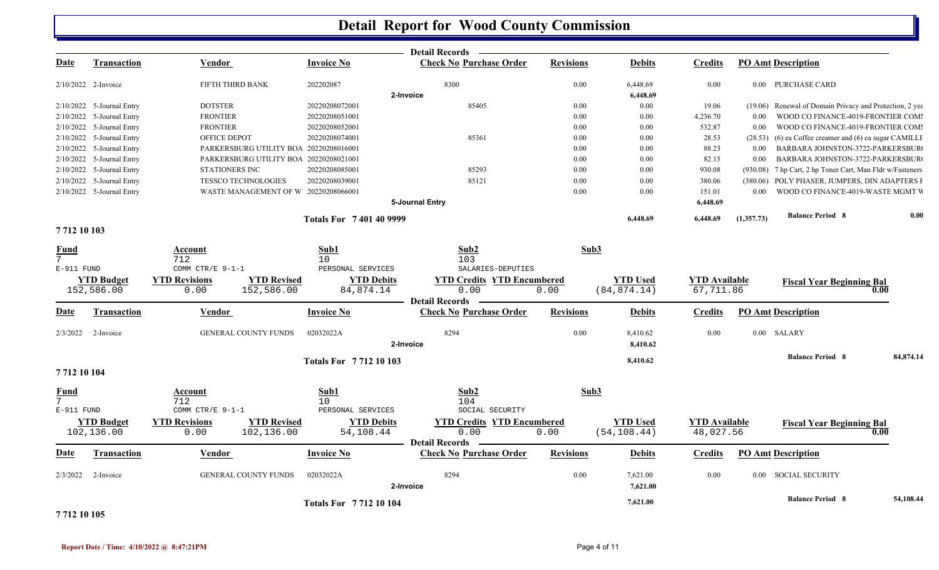|                                          |                                 |                                                                  |                                              | <b>Detail Records</b>                                   |                  |                                 |                                   |            |                                                           |           |
|------------------------------------------|---------------------------------|------------------------------------------------------------------|----------------------------------------------|---------------------------------------------------------|------------------|---------------------------------|-----------------------------------|------------|-----------------------------------------------------------|-----------|
| <u>Date</u>                              | <b>Transaction</b>              | <b>Vendor</b>                                                    | <b>Invoice No</b>                            | <b>Check No Purchase Order</b>                          | <b>Revisions</b> | <b>Debits</b>                   | <b>Credits</b>                    |            | <b>PO Amt Description</b>                                 |           |
| 2/10/2022 2-Invoice                      |                                 | FIFTH THIRD BANK                                                 | 202202087                                    | 8300<br>2-Invoice                                       | 0.00             | 6,448.69<br>6,448.69            | 0.00                              |            | 0.00 PURCHASE CARD                                        |           |
|                                          | 2/10/2022 5-Journal Entry       | <b>DOTSTER</b>                                                   | 20220208072001                               | 85405                                                   | 0.00             | 0.00                            | 19.06                             |            | (19.06) Renewal of Domain Privacy and Protection, 2 yea   |           |
|                                          | 2/10/2022 5-Journal Entry       | <b>FRONTIER</b>                                                  | 20220208051001                               |                                                         | 0.00             | 0.00                            | 4,236.70                          | 0.00       | WOOD CO FINANCE-4019-FRONTIER COMI                        |           |
|                                          | 2/10/2022 5-Journal Entry       | <b>FRONTIER</b>                                                  | 20220208052001                               |                                                         | 0.00             | 0.00                            | 532.87                            | 0.00       | WOOD CO FINANCE-4019-FRONTIER COMI                        |           |
|                                          | 2/10/2022 5-Journal Entry       | OFFICE DEPOT                                                     | 20220208074001                               | 85361                                                   | 0.00             | 0.00                            | 28.53                             | (28.53)    | $(6)$ ea Coffee creamer and $(6)$ ea sugar CAMILLE        |           |
|                                          | 2/10/2022 5-Journal Entry       | PARKERSBURG UTILITY BOA 20220208016001                           |                                              |                                                         | 0.00             | 0.00                            | 88.23                             | 0.00       | BARBARA JOHNSTON-3722-PARKERSBUR                          |           |
|                                          |                                 |                                                                  |                                              |                                                         |                  |                                 |                                   |            |                                                           |           |
|                                          | $2/10/2022$ 5-Journal Entry     | PARKERSBURG UTILITY BOA 20220208021001                           |                                              |                                                         | 0.00             | 0.00                            | 82.15                             | 0.00       | BARBARA JOHNSTON-3722-PARKERSBUR                          |           |
|                                          | 2/10/2022 5-Journal Entry       | STATIONERS INC                                                   | 20220208085001                               | 85293                                                   | 0.00             | 0.00                            | 930.08                            |            | (930.08) 7 hp Cart, 2 hp Toner Cart, Man Fldr w/Fasteners |           |
|                                          | 2/10/2022 5-Journal Entry       | <b>TESSCO TECHNOLOGIES</b>                                       | 20220208039001                               | 85121                                                   | 0.00             | 0.00                            | 380.06                            |            | (380.06) POLY PHASER, JUMPERS, DIN ADAPTERS F             |           |
|                                          | 2/10/2022 5-Journal Entry       | WASTE MANAGEMENT OF W 20220208066001                             |                                              | 5-Journal Entry                                         | 0.00             | 0.00                            | 151.01<br>6,448.69                |            | 0.00 WOOD CO FINANCE-4019-WASTE MGMT W                    |           |
|                                          |                                 |                                                                  | <b>Totals For 7401409999</b>                 |                                                         |                  | 6,448.69                        | 6,448.69                          | (1,357.73) | <b>Balance Period 8</b>                                   | 0.00      |
| 7712 10 103                              |                                 |                                                                  |                                              |                                                         |                  |                                 |                                   |            |                                                           |           |
| <b>Fund</b><br>$7^{\circ}$<br>E-911 FUND |                                 | Account<br>712<br>COMM CTR/E 9-1-1                               | Sub1<br>10 <sup>°</sup><br>PERSONAL SERVICES | Sub2<br>103<br>SALARIES-DEPUTIES                        | Sub3             |                                 |                                   |            |                                                           |           |
|                                          | <b>YTD Budget</b>               | <b>YTD Revised</b><br><b>YTD Revisions</b>                       | <b>YTD Debits</b>                            | <b>YTD Credits YTD Encumbered</b>                       |                  | <b>YTD Used</b>                 | <b>YTD Available</b>              |            | <b>Fiscal Year Beginning Bal</b>                          |           |
|                                          | 152,586.00                      | 0.00<br>152,586.00                                               | 84,874.14                                    | 0.00<br><b>Detail Records</b>                           | 0.00             | (84, 874.14)                    | 67,711.86                         |            | 0.00                                                      |           |
| <u>Date</u>                              | <b>Transaction</b>              | Vendor                                                           | <b>Invoice No</b>                            | <b>Check No Purchase Order</b>                          | <b>Revisions</b> | <b>Debits</b>                   | <b>Credits</b>                    |            | <b>PO Amt Description</b>                                 |           |
| 2/3/2022                                 | 2-Invoice                       | <b>GENERAL COUNTY FUNDS</b>                                      | 02032022A                                    | 8294<br>2-Invoice                                       | 0.00             | 8,410.62<br>8,410.62            | 0.00                              |            | $0.00$ SALARY                                             |           |
|                                          |                                 |                                                                  | <b>Totals For 771210103</b>                  |                                                         |                  | 8,410.62                        |                                   |            | <b>Balance Period 8</b>                                   | 84,874.14 |
| 7712 10 104                              |                                 |                                                                  |                                              |                                                         |                  |                                 |                                   |            |                                                           |           |
| <u>Fund</u>                              |                                 | <b>Account</b>                                                   | Sub1                                         | Sub2                                                    | Sub3             |                                 |                                   |            |                                                           |           |
| $E-911$ FUND                             |                                 | 712<br>COMM CTR/E 9-1-1                                          | 10 <sup>°</sup><br>PERSONAL SERVICES         | 104<br>SOCIAL SECURITY                                  |                  |                                 |                                   |            |                                                           |           |
|                                          | <b>YTD Budget</b><br>102,136.00 | <b>YTD Revisions</b><br><b>YTD Revised</b><br>102,136.00<br>0.00 | <b>YTD Debits</b><br>54,108.44               | <b>YTD Credits YTD Encumbered</b><br>0.00               | 0.00             | <b>YTD Used</b><br>(54, 108.44) | <b>YTD Available</b><br>48,027.56 |            | <b>Fiscal Year Beginning Bal</b><br>0.00                  |           |
| Date                                     | <b>Transaction</b>              | Vendor                                                           | <b>Invoice No</b>                            | <b>Detail Records</b><br><b>Check No Purchase Order</b> | <b>Revisions</b> | <b>Debits</b>                   | <b>Credits</b>                    |            | <b>PO Amt Description</b>                                 |           |
| 2/3/2022                                 | 2-Invoice                       | <b>GENERAL COUNTY FUNDS</b>                                      | 02032022A                                    | 8294<br>2-Invoice                                       | 0.00             | 7,621.00<br>7,621.00            | 0.00                              |            | 0.00 SOCIAL SECURITY                                      |           |
| ---------                                |                                 |                                                                  | <b>Totals For 771210104</b>                  |                                                         |                  | 7,621.00                        |                                   |            | <b>Balance Period 8</b>                                   | 54,108.44 |

**7 712 10 105**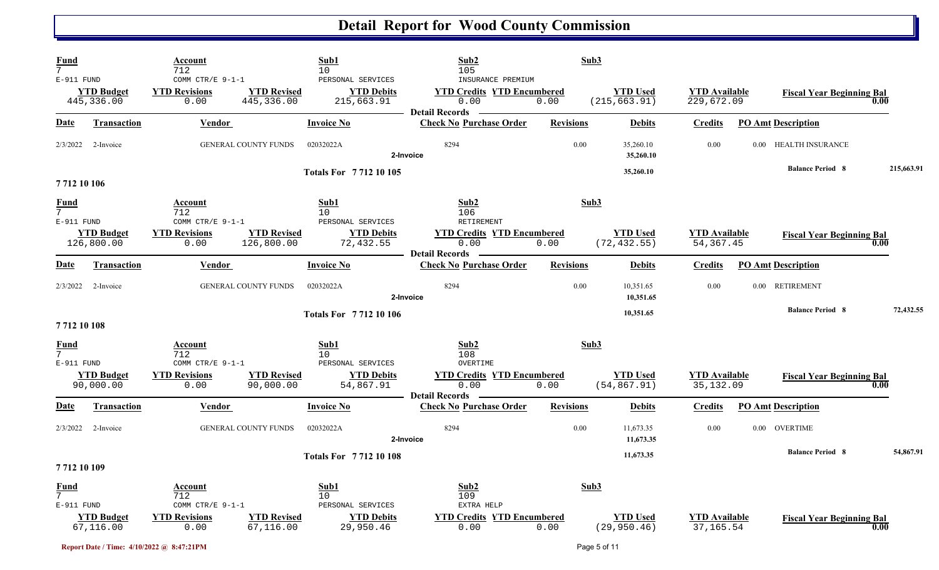| <b>Fund</b><br>$\overline{7}$    |                                 | Account<br>712                                   |                                  | Sub1<br>10                                           | Sub2<br>105                                                                             | Sub3             |                                  |                                    |                                  |            |
|----------------------------------|---------------------------------|--------------------------------------------------|----------------------------------|------------------------------------------------------|-----------------------------------------------------------------------------------------|------------------|----------------------------------|------------------------------------|----------------------------------|------------|
| E-911 FUND                       | <b>YTD Budget</b><br>445,336.00 | COMM CTR/E 9-1-1<br><b>YTD Revisions</b><br>0.00 | <b>YTD Revised</b><br>445,336.00 | PERSONAL SERVICES<br><b>YTD Debits</b><br>215,663.91 | INSURANCE PREMIUM<br><b>YTD Credits YTD Encumbered</b><br>0.00<br><b>Detail Records</b> | 0.00             | <b>YTD Used</b><br>(215, 663.91) | <b>YTD Available</b><br>229,672.09 | <b>Fiscal Year Beginning Bal</b> | 0.00       |
| Date                             | <b>Transaction</b>              | <b>Vendor</b>                                    |                                  | <b>Invoice No</b>                                    | <b>Check No Purchase Order</b>                                                          | <b>Revisions</b> | <b>Debits</b>                    | <b>Credits</b>                     | <b>PO Amt Description</b>        |            |
| 2/3/2022                         | 2-Invoice                       |                                                  | <b>GENERAL COUNTY FUNDS</b>      | 02032022A                                            | 8294<br>2-Invoice                                                                       | 0.00             | 35,260.10<br>35,260.10           | 0.00                               | 0.00 HEALTH INSURANCE            |            |
| 7712 10 106                      |                                 |                                                  |                                  | <b>Totals For 771210105</b>                          |                                                                                         |                  | 35,260.10                        |                                    | <b>Balance Period 8</b>          | 215,663.91 |
| <b>Fund</b><br>$7\overline{ }$   |                                 | Account<br>712                                   |                                  | Sub1<br>10                                           | Sub2<br>106                                                                             | Sub3             |                                  |                                    |                                  |            |
| E-911 FUND                       | <b>YTD Budget</b><br>126,800.00 | COMM CTR/E 9-1-1<br><b>YTD Revisions</b><br>0.00 | <b>YTD Revised</b><br>126,800.00 | PERSONAL SERVICES<br><b>YTD Debits</b><br>72,432.55  | RETIREMENT<br><b>YTD Credits YTD Encumbered</b><br>0.00                                 | 0.00             | <b>YTD Used</b><br>(72, 432.55)  | <b>YTD Available</b><br>54, 367.45 | <b>Fiscal Year Beginning Bal</b> | 0.00       |
| Date                             | <b>Transaction</b>              | Vendor                                           |                                  | <b>Invoice No</b>                                    | <b>Detail Records</b><br><b>Check No Purchase Order</b>                                 | <b>Revisions</b> | <b>Debits</b>                    | <b>Credits</b>                     | <b>PO Amt Description</b>        |            |
| 2/3/2022                         | 2-Invoice                       |                                                  | <b>GENERAL COUNTY FUNDS</b>      | 02032022A                                            | 8294<br>2-Invoice                                                                       | 0.00             | 10,351.65<br>10,351.65           | 0.00                               | 0.00 RETIREMENT                  |            |
| 7712 10 108                      |                                 |                                                  |                                  | <b>Totals For 771210106</b>                          |                                                                                         |                  | 10,351.65                        |                                    | <b>Balance Period 8</b>          | 72,432.55  |
| <b>Fund</b><br>E-911 FUND        |                                 | Account<br>712<br>COMM CTR/E $9-1-1$             |                                  | Sub1<br>10 <sup>°</sup><br>PERSONAL SERVICES         | Sub2<br>108<br>OVERTIME                                                                 | Sub3             |                                  |                                    |                                  |            |
|                                  | <b>YTD Budget</b><br>90,000.00  | <b>YTD Revisions</b><br>0.00                     | <b>YTD Revised</b><br>90,000.00  | <b>YTD Debits</b><br>54,867.91                       | <b>YTD Credits YTD Encumbered</b><br>0.00<br><b>Detail Records</b>                      | 0.00             | <b>YTD</b> Used<br>(54, 867.91)  | <b>YTD Available</b><br>35,132.09  | <b>Fiscal Year Beginning Bal</b> | 0.00       |
| Date                             | <b>Transaction</b>              | <b>Vendor</b>                                    |                                  | <b>Invoice No</b>                                    | <b>Check No Purchase Order</b>                                                          | <b>Revisions</b> | <b>Debits</b>                    | <b>Credits</b>                     | <b>PO Amt Description</b>        |            |
| 2/3/2022                         | 2-Invoice                       |                                                  | <b>GENERAL COUNTY FUNDS</b>      | 02032022A                                            | 8294<br>2-Invoice                                                                       | 0.00             | 11,673.35<br>11,673.35           | 0.00                               | 0.00 OVERTIME                    |            |
| 7712 10 109                      |                                 |                                                  |                                  | <b>Totals For 771210108</b>                          |                                                                                         |                  | 11,673.35                        |                                    | <b>Balance Period 8</b>          | 54,867.91  |
| $\frac{Fund}{7}$<br>$E-911$ FUND |                                 | <b>Account</b><br>712<br>COMM CTR/E 9-1-1        |                                  | Sub1<br>10<br>PERSONAL SERVICES                      | Sub2<br>109<br>EXTRA HELP                                                               | Sub3             |                                  |                                    |                                  |            |
|                                  | <b>YTD Budget</b><br>67,116.00  | <b>YTD Revisions</b><br>0.00                     | <b>YTD Revised</b><br>67,116.00  | <b>YTD Debits</b><br>29,950.46                       | <b>YTD Credits YTD Encumbered</b><br>0.00                                               | 0.00             | <b>YTD Used</b><br>(29, 950.46)  | <b>YTD Available</b><br>37, 165.54 | <b>Fiscal Year Beginning Bal</b> | 0.00       |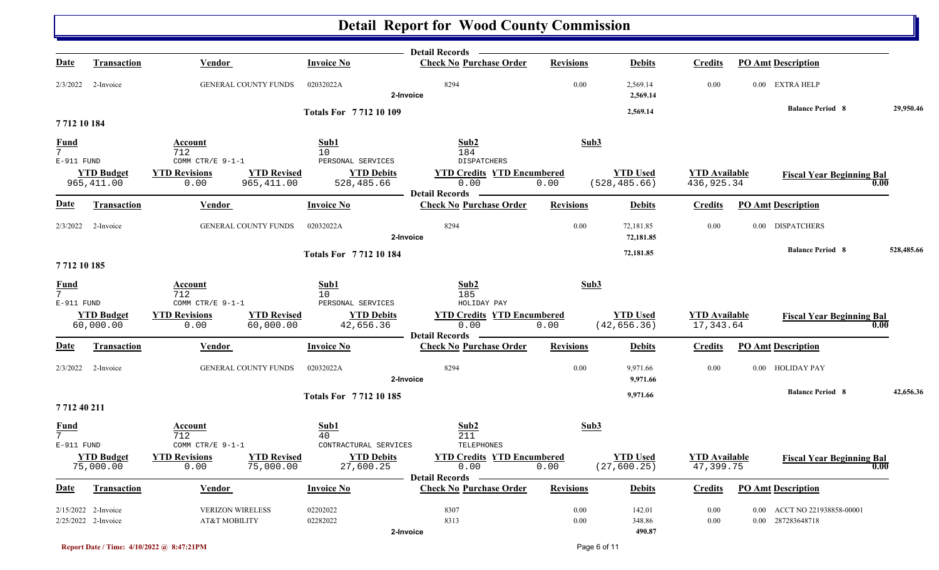|                                |                                            |                                                                  |                                     | Detail Records -                                                   |                  |                                  |                                    |                                                   |                   |
|--------------------------------|--------------------------------------------|------------------------------------------------------------------|-------------------------------------|--------------------------------------------------------------------|------------------|----------------------------------|------------------------------------|---------------------------------------------------|-------------------|
| <u>Date</u>                    | <b>Transaction</b>                         | <b>Vendor</b>                                                    | <b>Invoice No</b>                   | <b>Check No Purchase Order</b>                                     | <b>Revisions</b> | <b>Debits</b>                    | <b>Credits</b>                     | <b>PO Amt Description</b>                         |                   |
| 2/3/2022                       | 2-Invoice                                  | GENERAL COUNTY FUNDS                                             | 02032022A                           | 8294<br>2-Invoice                                                  | 0.00             | 2,569.14<br>2,569.14             | 0.00                               | 0.00 EXTRA HELP                                   |                   |
|                                |                                            |                                                                  | <b>Totals For 771210109</b>         |                                                                    |                  | 2,569.14                         |                                    | <b>Balance Period 8</b>                           | 29,950.46         |
| 771210184                      |                                            |                                                                  |                                     |                                                                    |                  |                                  |                                    |                                                   |                   |
| <b>Fund</b><br>$\overline{7}$  |                                            | Account<br>712                                                   | Sub1<br>10                          | Sub2<br>184                                                        | Sub3             |                                  |                                    |                                                   |                   |
| E-911 FUND                     |                                            | COMM CTR/E 9-1-1                                                 | PERSONAL SERVICES                   | DISPATCHERS                                                        |                  |                                  |                                    |                                                   |                   |
|                                | <b>YTD Budget</b><br>965, 411.00           | <b>YTD Revisions</b><br><b>YTD Revised</b><br>965,411.00<br>0.00 | <b>YTD Debits</b><br>528,485.66     | <b>YTD Credits YTD Encumbered</b><br>0.00<br><b>Detail Records</b> | 0.00             | <b>YTD Used</b><br>(528, 485.66) | <b>YTD Available</b><br>436,925.34 | <b>Fiscal Year Beginning Bal</b>                  | 0.00              |
| <b>Date</b>                    | Transaction                                | Vendor                                                           | <b>Invoice No</b>                   | <b>Check No Purchase Order</b>                                     | <b>Revisions</b> | <b>Debits</b>                    | <b>Credits</b>                     | <b>PO Amt Description</b>                         |                   |
| 2/3/2022                       | 2-Invoice                                  | <b>GENERAL COUNTY FUNDS</b>                                      | 02032022A                           | 8294<br>2-Invoice                                                  | 0.00             | 72,181.85<br>72,181.85           | 0.00                               | 0.00 DISPATCHERS                                  |                   |
|                                |                                            |                                                                  | <b>Totals For 771210184</b>         |                                                                    |                  | 72,181.85                        |                                    | <b>Balance Period 8</b>                           | 528,485.66        |
| 7712 10 185                    |                                            |                                                                  |                                     |                                                                    |                  |                                  |                                    |                                                   |                   |
| $\frac{Fund}{7}$               |                                            | Account                                                          | Sub1                                | Sub2                                                               | Sub3             |                                  |                                    |                                                   |                   |
| E-911 FUND                     |                                            | 712<br>COMM CTR/E 9-1-1                                          | 10<br>PERSONAL SERVICES             | 185<br>HOLIDAY PAY                                                 |                  |                                  |                                    |                                                   |                   |
|                                | <b>YTD Budget</b><br>60,000.00             | <b>YTD Revisions</b><br><b>YTD Revised</b><br>60,000.00<br>0.00  | <b>YTD Debits</b><br>42,656.36      | <b>YTD Credits YTD Encumbered</b><br>0.00<br><b>Detail Records</b> | 0.00             | <b>YTD Used</b><br>(42, 656.36)  | <b>YTD</b> Available<br>17,343.64  | <b>Fiscal Year Beginning Bal</b>                  | 0.00              |
| <u>Date</u>                    | <b>Transaction</b>                         | Vendor                                                           | <b>Invoice No</b>                   | <b>Check No Purchase Order</b>                                     | <b>Revisions</b> | <b>Debits</b>                    | <b>Credits</b>                     | <b>PO Amt Description</b>                         |                   |
| 2/3/2022                       | 2-Invoice                                  | <b>GENERAL COUNTY FUNDS</b>                                      | 02032022A                           | 8294<br>2-Invoice                                                  | 0.00             | 9,971.66<br>9,971.66             | 0.00                               | 0.00 HOLIDAY PAY                                  |                   |
|                                |                                            |                                                                  | <b>Totals For 771210185</b>         |                                                                    |                  | 9,971.66                         |                                    | <b>Balance Period 8</b>                           | 42,656.36         |
| 771240211                      |                                            |                                                                  |                                     |                                                                    |                  |                                  |                                    |                                                   |                   |
| $\frac{Fund}{7}$<br>E-911 FUND |                                            | Account<br>712<br>COMM CTR/E 9-1-1                               | Sub1<br>40<br>CONTRACTURAL SERVICES | Sub2<br>211<br>TELEPHONES                                          | Sub3             |                                  |                                    |                                                   |                   |
|                                | <b>YTD Budget</b><br>75,000.00             | <b>YTD Revisions</b><br><b>YTD Revised</b><br>0.00<br>75,000.00  | <b>YTD Debits</b><br>27,600.25      | <b>YTD Credits YTD Encumbered</b><br>0.00<br><b>Detail Records</b> | 0.00             | <b>YTD Used</b><br>(27, 600.25)  | <b>YTD</b> Available<br>47,399.75  | <b>Fiscal Year Beginning Bal</b>                  | $\overline{0.00}$ |
| <b>Date</b>                    | Transaction                                | Vendor                                                           | <b>Invoice No</b>                   | <b>Check No Purchase Order</b>                                     | <b>Revisions</b> | <b>Debits</b>                    | <b>Credits</b>                     | <b>PO Amt Description</b>                         |                   |
|                                | 2/15/2022 2-Invoice<br>2/25/2022 2-Invoice | <b>VERIZON WIRELESS</b><br>AT&T MOBILITY                         | 02202022<br>02282022                | 8307<br>8313<br>2-Invoice                                          | 0.00<br>0.00     | 142.01<br>348.86<br>490.87       | 0.00<br>$0.00\,$                   | 0.00 ACCT NO 221938858-00001<br>0.00 287283648718 |                   |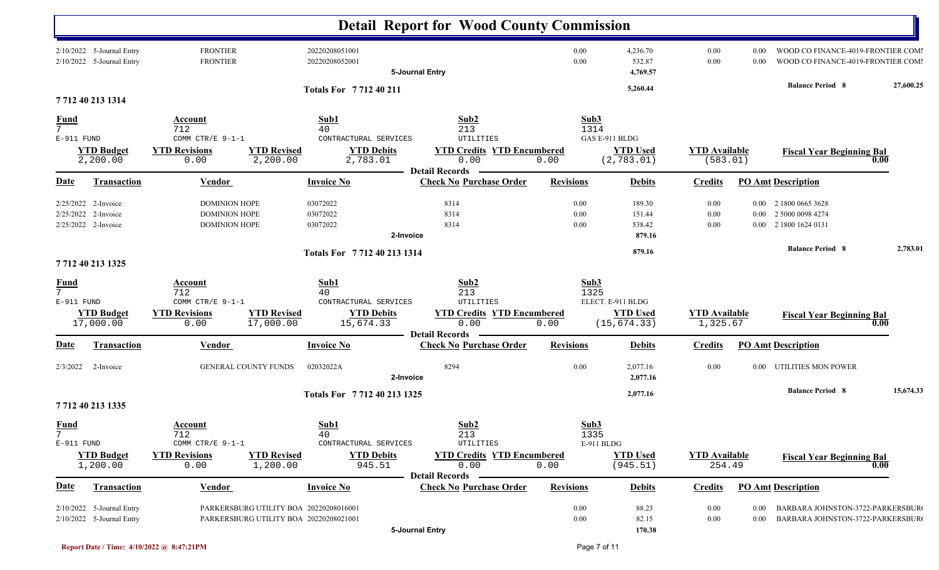|                                             |                                                          |                                                                                 |                                                                                                        | <b>Detail Report for Wood County Commission</b>                       |                      |                                                      |                                  |                      |                                                                          |           |
|---------------------------------------------|----------------------------------------------------------|---------------------------------------------------------------------------------|--------------------------------------------------------------------------------------------------------|-----------------------------------------------------------------------|----------------------|------------------------------------------------------|----------------------------------|----------------------|--------------------------------------------------------------------------|-----------|
|                                             | 2/10/2022 5-Journal Entry<br>2/10/2022 5-Journal Entry   | <b>FRONTIER</b><br><b>FRONTIER</b>                                              | 20220208051001<br>20220208052001                                                                       | 5-Journal Entry                                                       | 0.00<br>0.00         | 4,236.70<br>532.87<br>4,769.57                       | 0.00<br>0.00                     | 0.00<br>0.00         | WOOD CO FINANCE-4019-FRONTIER COMI<br>WOOD CO FINANCE-4019-FRONTIER COMI |           |
|                                             | 7712 40 213 1314                                         |                                                                                 | Totals For 7712 40 211                                                                                 |                                                                       |                      | 5,260.44                                             |                                  |                      | <b>Balance Period 8</b>                                                  | 27,600.25 |
| <u>Fund</u><br>$\overline{7}$<br>E-911 FUND | <b>YTD Budget</b><br>2,200.00                            | Account<br>712<br>COMM CTR/E 9-1-1<br><b>YTD Revisions</b><br>0.00              | Sub1<br>40<br>CONTRACTURAL SERVICES<br><b>YTD Revised</b><br><b>YTD Debits</b><br>2,200.00<br>2,783.01 | Sub2<br>213<br>UTILITIES<br><b>YTD Credits YTD Encumbered</b><br>0.00 | Sub3<br>1314<br>0.00 | GAS E-911 BLDG<br><b>YTD Used</b><br>(2, 783.01)     | <b>YTD Available</b><br>(583.01) |                      | <b>Fiscal Year Beginning Bal</b>                                         | 0.00      |
| <b>Date</b>                                 | Transaction                                              | Vendor                                                                          | <b>Invoice No</b>                                                                                      | <b>Detail Records</b><br><b>Check No Purchase Order</b>               | <b>Revisions</b>     | <b>Debits</b>                                        | <b>Credits</b>                   |                      | <b>PO Amt Description</b>                                                |           |
| 2/25/2022                                   | 2/25/2022 2-Invoice<br>2-Invoice<br>2/25/2022 2-Invoice  | <b>DOMINION HOPE</b><br><b>DOMINION HOPE</b><br><b>DOMINION HOPE</b>            | 03072022<br>03072022<br>03072022                                                                       | 8314<br>8314<br>8314<br>2-Invoice                                     | 0.00<br>0.00<br>0.00 | 189.30<br>151.44<br>538.42<br>879.16                 | 0.00<br>0.00<br>0.00             | $0.00\,$<br>$0.00\,$ | 2 1800 0665 3628<br>2 5000 0098 4274<br>0.00 2 1800 1624 0131            |           |
|                                             | 7712 40 213 1325                                         |                                                                                 | Totals For 7712 40 213 1314                                                                            |                                                                       |                      | 879.16                                               |                                  |                      | <b>Balance Period 8</b>                                                  | 2,783.01  |
| $\frac{Fund}{7}$<br>E-911 FUND              | <b>YTD Budget</b><br>17,000.00                           | Account<br>712<br>COMM CTR/E 9-1-1<br><b>YTD Revisions</b><br>17,000.00<br>0.00 | Sub1<br>40<br>CONTRACTURAL SERVICES<br><b>YTD Revised</b><br><b>YTD Debits</b><br>15,674.33            | Sub2<br>213<br>UTILITIES<br><b>YTD Credits YTD Encumbered</b><br>0.00 | Sub3<br>1325<br>0.00 | ELECT. E-911 BLDG<br><b>YTD Used</b><br>(15, 674.33) | <b>YTD Available</b><br>1,325.67 |                      | <b>Fiscal Year Beginning Bal</b><br>0.00                                 |           |
| <b>Date</b>                                 | Transaction                                              | <b>Vendor</b>                                                                   | <b>Invoice No</b>                                                                                      | <b>Detail Records</b><br><b>Check No Purchase Order</b>               | <b>Revisions</b>     | <b>Debits</b>                                        | <b>Credits</b>                   |                      | <b>PO Amt Description</b>                                                |           |
| 2/3/2022                                    | 2-Invoice                                                | <b>GENERAL COUNTY FUNDS</b>                                                     | 02032022A                                                                                              | 8294<br>2-Invoice                                                     | 0.00                 | 2,077.16<br>2,077.16                                 | 0.00                             | $0.00\,$             | UTILITIES MON POWER                                                      |           |
|                                             | 7712 40 213 1335                                         |                                                                                 | Totals For 7712 40 213 1325                                                                            |                                                                       |                      | 2,077.16                                             |                                  |                      | <b>Balance Period 8</b>                                                  | 15,674.33 |
| <b>Fund</b><br>7<br>E-911 FUND              | <b>YTD Budget</b><br>1,200.00                            | Account<br>712<br>COMM CTR/E 9-1-1<br><b>YTD Revisions</b><br>0.00              | Sub1<br>40<br>CONTRACTURAL SERVICES<br><b>YTD Revised</b><br><b>YTD Debits</b><br>1,200.00<br>945.51   | Sub2<br>213<br>UTILITIES<br><b>YTD Credits YTD Encumbered</b><br>0.00 | Sub3<br>1335<br>0.00 | E-911 BLDG<br><b>YTD</b> Used<br>(945.51)            | <b>YTD</b> Available<br>254.49   |                      | <b>Fiscal Year Beginning Bal</b>                                         | 0.00      |
| <b>Date</b>                                 | Transaction                                              | <b>Vendor</b>                                                                   | <b>Invoice No</b>                                                                                      | <b>Detail Records</b><br><b>Check No Purchase Order</b>               | <b>Revisions</b>     | <b>Debits</b>                                        | <b>Credits</b>                   |                      | <b>PO Amt Description</b>                                                |           |
|                                             | $2/10/2022$ 5-Journal Entry<br>2/10/2022 5-Journal Entry |                                                                                 | PARKERSBURG UTILITY BOA 20220208016001<br>PARKERSBURG UTILITY BOA 20220208021001                       | 5-Journal Entry                                                       | 0.00<br>0.00         | 88.23<br>82.15<br>170.38                             | 0.00<br>0.00                     | 0.00<br>0.00         | BARBARA JOHNSTON-3722-PARKERSBUR<br>BARBARA JOHNSTON-3722-PARKERSBUR     |           |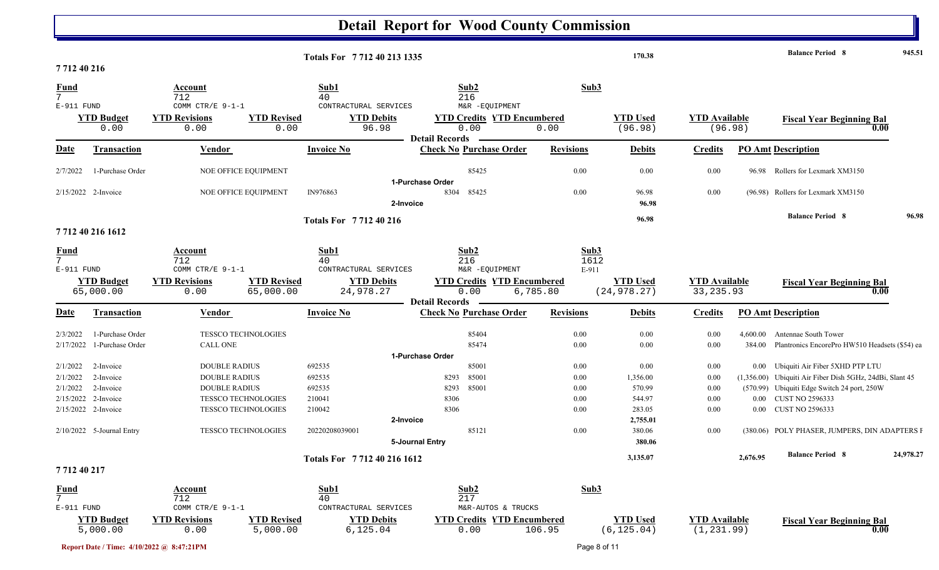|                                |                                |                                                                        | Totals For 7712 40 213 1335                                 |                                                                    |                       | 170.38                          |                                     |          | <b>Balance Period 8</b>                                  | 945.51    |
|--------------------------------|--------------------------------|------------------------------------------------------------------------|-------------------------------------------------------------|--------------------------------------------------------------------|-----------------------|---------------------------------|-------------------------------------|----------|----------------------------------------------------------|-----------|
| 771240216                      |                                |                                                                        |                                                             |                                                                    |                       |                                 |                                     |          |                                                          |           |
| <b>Fund</b><br>7               |                                | Account<br>712                                                         | Sub1<br>40                                                  | Sub2<br>216                                                        | Sub3                  |                                 |                                     |          |                                                          |           |
| E-911 FUND                     | <b>YTD Budget</b><br>0.00      | COMM CTR/E 9-1-1<br><b>YTD Revised</b><br><b>YTD Revisions</b><br>0.00 | CONTRACTURAL SERVICES<br><b>YTD Debits</b><br>96.98<br>0.00 | M&R -EQUIPMENT<br><b>YTD Credits YTD Encumbered</b><br>0.00        | 0.00                  | <b>YTD</b> Used<br>(96.98)      | <b>YTD Available</b><br>(96.98)     |          | <b>Fiscal Year Beginning Bal</b><br>0.00                 |           |
| Date                           | <b>Transaction</b>             | Vendor                                                                 | <b>Invoice No</b>                                           | <b>Detail Records</b><br><b>Check No Purchase Order</b>            | <b>Revisions</b>      | <b>Debits</b>                   | <b>Credits</b>                      |          | <b>PO Amt Description</b>                                |           |
| 2/7/2022                       | 1-Purchase Order               | NOE OFFICE EQUIPMENT                                                   |                                                             | 85425                                                              | 0.00                  | 0.00                            | 0.00                                |          | 96.98 Rollers for Lexmark XM3150                         |           |
|                                |                                |                                                                        |                                                             | 1-Purchase Order                                                   |                       |                                 |                                     |          |                                                          |           |
|                                | 2/15/2022 2-Invoice            | NOE OFFICE EQUIPMENT                                                   | IN976863<br>2-Invoice                                       | 8304<br>85425                                                      | 0.00                  | 96.98<br>96.98                  | 0.00                                |          | (96.98) Rollers for Lexmark XM3150                       |           |
|                                |                                |                                                                        | <b>Totals For 771240216</b>                                 |                                                                    |                       | 96.98                           |                                     |          | <b>Balance Period 8</b>                                  | 96.98     |
|                                | 7712 40 216 1612               |                                                                        |                                                             |                                                                    |                       |                                 |                                     |          |                                                          |           |
| <b>Fund</b><br>7<br>E-911 FUND |                                | Account<br>712<br>COMM CTR/E $9-1-1$                                   | Sub1<br>40<br>CONTRACTURAL SERVICES                         | Sub2<br>216<br>M&R -EQUIPMENT                                      | Sub3<br>1612<br>E-911 |                                 |                                     |          |                                                          |           |
|                                | <b>YTD Budget</b><br>65,000.00 | <b>YTD Revisions</b><br><b>YTD Revised</b><br>0.00<br>65,000.00        | <b>YTD Debits</b><br>24,978.27                              | <b>YTD Credits YTD Encumbered</b><br>0.00<br><b>Detail Records</b> | 6,785.80              | <b>YTD Used</b><br>(24, 978.27) | <b>YTD Available</b><br>33, 235.93  |          | <b>Fiscal Year Beginning Bal</b><br>$\overline{0.00}$    |           |
| Date                           | <b>Transaction</b>             | <b>Vendor</b>                                                          | <b>Invoice No</b>                                           | <b>Check No Purchase Order</b>                                     | <b>Revisions</b>      | <b>Debits</b>                   | <b>Credits</b>                      |          | <b>PO Amt Description</b>                                |           |
| 2/3/2022                       | 1-Purchase Order               | <b>TESSCO TECHNOLOGIES</b>                                             |                                                             | 85404                                                              | 0.00                  | 0.00                            | 0.00                                | 4,600.00 | Antennae South Tower                                     |           |
| 2/17/2022                      | 1-Purchase Order               | CALL ONE                                                               |                                                             | 85474                                                              | 0.00                  | 0.00                            | 0.00                                | 384.00   | Plantronics EncorePro HW510 Headsets (\$54) ea           |           |
|                                |                                |                                                                        |                                                             | 1-Purchase Order                                                   |                       |                                 |                                     |          |                                                          |           |
| 2/1/2022                       | 2-Invoice                      | <b>DOUBLE RADIUS</b>                                                   | 692535                                                      | 85001                                                              | 0.00                  | 0.00                            | 0.00                                |          | 0.00 Ubiquiti Air Fiber 5XHD PTP LTU                     |           |
| 2/1/2022                       | 2-Invoice                      | <b>DOUBLE RADIUS</b>                                                   | 692535                                                      | 85001<br>8293                                                      | 0.00                  | 1,356.00                        | 0.00                                |          | (1,356.00) Ubiquiti Air Fiber Dish 5GHz, 24dBi, Slant 45 |           |
| 2/1/2022                       | 2-Invoice                      | <b>DOUBLE RADIUS</b>                                                   | 692535                                                      | 85001<br>8293                                                      | 0.00                  | 570.99                          | 0.00                                |          | (570.99) Ubiquiti Edge Switch 24 port, 250W              |           |
|                                | 2/15/2022 2-Invoice            | <b>TESSCO TECHNOLOGIES</b>                                             | 210041                                                      | 8306                                                               | 0.00                  | 544.97                          | 0.00                                |          | 0.00 CUST NO 2596333                                     |           |
|                                | 2/15/2022 2-Invoice            | <b>TESSCO TECHNOLOGIES</b>                                             | 210042                                                      | 8306                                                               | 0.00                  | 283.05                          | 0.00                                | $0.00\,$ | <b>CUST NO 2596333</b>                                   |           |
|                                |                                |                                                                        | 2-Invoice                                                   |                                                                    |                       | 2,755.01                        |                                     |          |                                                          |           |
|                                | 2/10/2022 5-Journal Entry      | <b>TESSCO TECHNOLOGIES</b>                                             | 20220208039001<br>5-Journal Entry                           | 85121                                                              | 0.00                  | 380.06<br>380.06                | 0.00                                |          | (380.06) POLY PHASER, JUMPERS, DIN ADAPTERS F            |           |
|                                |                                |                                                                        | Totals For 7712 40 216 1612                                 |                                                                    |                       | 3,135.07                        |                                     | 2,676.95 | <b>Balance Period 8</b>                                  | 24,978.27 |
| 771240217                      |                                |                                                                        |                                                             |                                                                    |                       |                                 |                                     |          |                                                          |           |
| $\frac{Fund}{7}$               |                                | <b>Account</b><br>712                                                  | Sub1<br>40                                                  | Sub2<br>217                                                        | Sub3                  |                                 |                                     |          |                                                          |           |
| E-911 FUND                     |                                | COMM CTR/E $9-1-1$                                                     | CONTRACTURAL SERVICES                                       | M&R-AUTOS & TRUCKS                                                 |                       |                                 |                                     |          |                                                          |           |
|                                | <b>YTD Budget</b><br>5,000.00  | <b>YTD Revisions</b><br><b>YTD Revised</b><br>0.00<br>5,000.00         | <b>YTD Debits</b><br>6, 125.04                              | <b>YTD Credits YTD Encumbered</b><br>0.00                          | 106.95                | <b>YTD Used</b><br>(6, 125.04)  | <b>YTD Available</b><br>(1, 231.99) |          | <b>Fiscal Year Beginning Bal</b><br>0.00                 |           |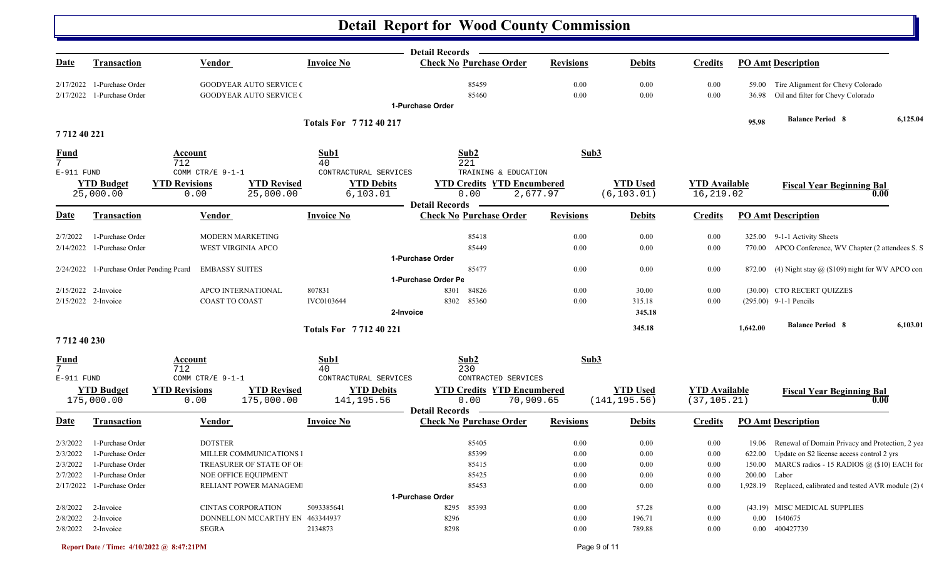|                               |                                          |                                                                |                                            | Detail Records —                                         |                      |                  |                      |              |                                                         |          |
|-------------------------------|------------------------------------------|----------------------------------------------------------------|--------------------------------------------|----------------------------------------------------------|----------------------|------------------|----------------------|--------------|---------------------------------------------------------|----------|
| Date                          | <b>Transaction</b>                       | <b>Vendor</b>                                                  | <b>Invoice No</b>                          | <b>Check No Purchase Order</b>                           | <b>Revisions</b>     | <b>Debits</b>    | <b>Credits</b>       |              | <b>PO Amt Description</b>                               |          |
|                               | $2/17/2022$ 1-Purchase Order             | <b>GOODYEAR AUTO SERVICE (</b>                                 |                                            | 85459                                                    | $0.00\,$             | 0.00             | 0.00                 |              | 59.00 Tire Alignment for Chevy Colorado                 |          |
| 2/17/2022                     | 1-Purchase Order                         | <b>GOODYEAR AUTO SERVICE (</b>                                 |                                            | 85460<br>1-Purchase Order                                | 0.00                 | 0.00             | 0.00                 |              | 36.98 Oil and filter for Chevy Colorado                 |          |
|                               |                                          |                                                                |                                            |                                                          |                      |                  |                      |              | <b>Balance Period 8</b>                                 | 6,125.04 |
| 771240221                     |                                          |                                                                | <b>Totals For 771240217</b>                |                                                          |                      |                  |                      | 95.98        |                                                         |          |
| <b>Fund</b>                   |                                          | <b>Account</b>                                                 | Sub1                                       | Sub2                                                     | Sub3                 |                  |                      |              |                                                         |          |
| $7\overline{ }$<br>E-911 FUND |                                          | 712<br>COMM CTR/E 9-1-1                                        | 40<br>CONTRACTURAL SERVICES                | 221<br>TRAINING & EDUCATION                              |                      |                  |                      |              |                                                         |          |
|                               | <b>YTD Budget</b>                        | <b>YTD Revisions</b><br><b>YTD Revised</b>                     | <b>YTD Debits</b>                          | <b>YTD Credits YTD Encumbered</b>                        |                      | <b>YTD Used</b>  | <b>YTD Available</b> |              |                                                         |          |
|                               | 25,000.00                                | 0.00<br>25,000.00                                              | 6, 103.01                                  | 0.00                                                     | 2,677.97             | (6, 103.01)      | 16,219.02            |              | <b>Fiscal Year Beginning Bal</b><br>0.00                |          |
|                               |                                          |                                                                |                                            | <b>Detail Records</b>                                    |                      |                  |                      |              |                                                         |          |
| Date                          | <b>Transaction</b>                       | <b>Vendor</b>                                                  | <b>Invoice No</b>                          | <b>Check No Purchase Order</b>                           | <b>Revisions</b>     | <b>Debits</b>    | <b>Credits</b>       |              | <b>PO Amt Description</b>                               |          |
| 2/7/2022                      | 1-Purchase Order                         | MODERN MARKETING                                               |                                            | 85418                                                    | $0.00\,$             | 0.00             | 0.00                 |              | 325.00 9-1-1 Activity Sheets                            |          |
| 2/14/2022                     | 1-Purchase Order                         | <b>WEST VIRGINIA APCO</b>                                      |                                            | 85449                                                    | 0.00                 | 0.00             | 0.00                 |              | 770.00 APCO Conference, WV Chapter (2 attendees S. S.   |          |
|                               |                                          |                                                                |                                            | 1-Purchase Order                                         |                      |                  |                      |              |                                                         |          |
|                               | 2/24/2022 1-Purchase Order Pending Pcard | <b>EMBASSY SUITES</b>                                          |                                            | 85477                                                    | $0.00\,$             | 0.00             | $0.00\,$             |              | 872.00 (4) Night stay @ (\$109) night for WV APCO con   |          |
|                               |                                          |                                                                |                                            | 1-Purchase Order Pe                                      |                      |                  |                      |              |                                                         |          |
|                               | 2/15/2022 2-Invoice                      | APCO INTERNATIONAL<br><b>COAST TO COAST</b>                    | 807831                                     | 84826<br>8301                                            | 0.00                 | 30.00            | 0.00                 |              | (30.00) CTO RECERT QUIZZES<br>$(295.00)$ 9-1-1 Pencils  |          |
|                               | 2/15/2022 2-Invoice                      |                                                                | IVC0103644                                 | 8302<br>85360<br>2-Invoice                               | 0.00                 | 315.18<br>345.18 | 0.00                 |              |                                                         |          |
|                               |                                          |                                                                |                                            |                                                          |                      |                  |                      |              | <b>Balance Period 8</b>                                 | 6,103.01 |
| 771240230                     |                                          |                                                                | Totals For 771240221                       |                                                          |                      | 345.18           |                      | 1,642.00     |                                                         |          |
| <u>Fund</u>                   |                                          | Account                                                        | Sub1                                       | Sub2                                                     | Sub3                 |                  |                      |              |                                                         |          |
| $7\overline{ }$               |                                          | 712                                                            | 40                                         | 230                                                      |                      |                  |                      |              |                                                         |          |
| E-911 FUND                    |                                          | COMM CTR/E 9-1-1<br><b>YTD Revisions</b><br><b>YTD Revised</b> | CONTRACTURAL SERVICES<br><b>YTD Debits</b> | CONTRACTED SERVICES<br><b>YTD Credits YTD Encumbered</b> |                      | <b>YTD Used</b>  | <b>YTD Available</b> |              |                                                         |          |
|                               | <b>YTD Budget</b><br>175,000.00          | 0.00<br>175,000.00                                             | 141, 195.56                                | 0.00<br>70,909.65                                        |                      | (141, 195.56)    | (37, 105.21)         |              | <b>Fiscal Year Beginning Bal</b><br>0.00                |          |
|                               |                                          |                                                                |                                            | <b>Detail Records</b>                                    |                      |                  |                      |              |                                                         |          |
| Date                          | <b>Transaction</b>                       | Vendor                                                         | <b>Invoice No</b>                          | <b>Check No Purchase Order</b>                           | <b>Revisions</b>     | <b>Debits</b>    | <b>Credits</b>       |              | <b>PO Amt Description</b>                               |          |
| 2/3/2022                      | 1-Purchase Order                         | <b>DOTSTER</b>                                                 |                                            | 85405                                                    | $0.00\,$             | 0.00             | 0.00                 |              | 19.06 Renewal of Domain Privacy and Protection, 2 yea   |          |
| 2/3/2022                      | 1-Purchase Order                         | MILLER COMMUNICATIONS I                                        |                                            | 85399                                                    | 0.00                 | 0.00             | 0.00                 |              | 622.00 Update on S2 license access control 2 yrs        |          |
| 2/3/2022                      | 1-Purchase Order                         | TREASURER OF STATE OF OF                                       |                                            | 85415                                                    | 0.00                 | 0.00             | 0.00                 |              | 150.00 MARCS radios - 15 RADIOS @ (\$10) EACH for       |          |
| 2/7/2022                      | 1-Purchase Order                         | <b>NOE OFFICE EQUIPMENT</b>                                    |                                            | 85425                                                    | $0.00\,$             | 0.00             | $0.00\,$             | 200.00 Labor |                                                         |          |
|                               | 2/17/2022 1-Purchase Order               | RELIANT POWER MANAGEM                                          |                                            | 85453                                                    | $0.00\,$             | $0.00\,$         | 0.00                 |              | 1,928.19 Replaced, calibrated and tested AVR module (2) |          |
|                               |                                          |                                                                |                                            | 1-Purchase Order                                         |                      |                  |                      |              |                                                         |          |
| 2/8/2022<br>2/8/2022          | 2-Invoice<br>2-Invoice                   | <b>CINTAS CORPORATION</b><br>DONNELLON MCCARTHY EN 463344937   | 5093385641                                 | 8295<br>85393<br>8296                                    | $0.00\,$<br>$0.00\,$ | 57.28<br>196.71  | 0.00<br>0.00         |              | (43.19) MISC MEDICAL SUPPLIES<br>0.00 1640675           |          |
|                               | 2/8/2022 2-Invoice                       | <b>SEGRA</b>                                                   | 2134873                                    | 8298                                                     | $0.00\,$             | 789.88           | 0.00                 |              | 0.00 400427739                                          |          |
|                               |                                          |                                                                |                                            |                                                          |                      |                  |                      |              |                                                         |          |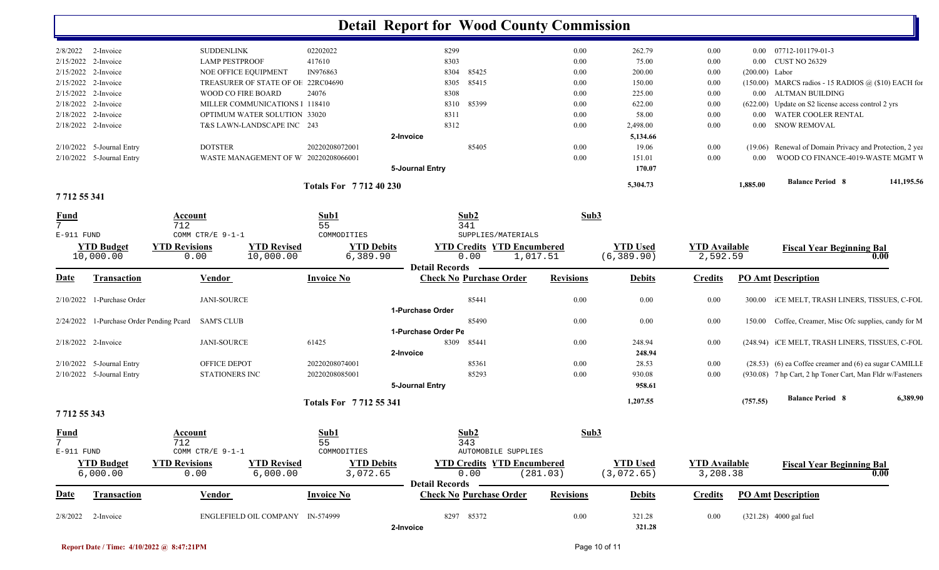|                                |                           |                                                     |                             | <b>Detail Report for Wood County Commission</b>         |                  |                  |                      |                  |                                                           |            |
|--------------------------------|---------------------------|-----------------------------------------------------|-----------------------------|---------------------------------------------------------|------------------|------------------|----------------------|------------------|-----------------------------------------------------------|------------|
|                                | $2/8/2022$ 2-Invoice      | <b>SUDDENLINK</b>                                   | 02202022                    | 8299                                                    | 0.00             | 262.79           | 0.00                 |                  | 0.00 07712-101179-01-3                                    |            |
|                                | 2/15/2022 2-Invoice       | <b>LAMP PESTPROOF</b>                               | 417610                      | 8303                                                    | 0.00             | 75.00            | 0.00                 | $0.00\,$         | <b>CUST NO 26329</b>                                      |            |
|                                | 2/15/2022 2-Invoice       | NOE OFFICE EQUIPMENT                                | IN976863                    | 85425<br>8304                                           | 0.00             | 200.00           | 0.00                 | $(200.00)$ Labor |                                                           |            |
|                                | 2/15/2022 2-Invoice       | TREASURER OF STATE OF OF                            | 22RC04690                   | 85415<br>8305                                           | 0.00             | 150.00           | 0.00                 |                  | $(150.00)$ MARCS radios - 15 RADIOS @ (\$10) EACH for     |            |
|                                | 2/15/2022 2-Invoice       | WOOD CO FIRE BOARD                                  | 24076                       | 8308                                                    | 0.00             | 225.00           | 0.00                 | $0.00\,$         | ALTMAN BUILDING                                           |            |
|                                | 2/18/2022 2-Invoice       | MILLER COMMUNICATIONS   118410                      |                             | 85399<br>8310                                           | 0.00             | 622.00           | 0.00                 |                  | (622.00) Update on S2 license access control 2 yrs        |            |
|                                | 2/18/2022 2-Invoice       | OPTIMUM WATER SOLUTION 33020                        |                             | 8311                                                    | 0.00             | 58.00            | 0.00                 | 0.00             | WATER COOLER RENTAL                                       |            |
|                                | 2/18/2022 2-Invoice       | T&S LAWN-LANDSCAPE INC 243                          |                             | 8312                                                    | 0.00             | 2,498.00         | 0.00                 | $0.00\,$         | <b>SNOW REMOVAL</b>                                       |            |
|                                |                           |                                                     | 2-Invoice                   |                                                         |                  | 5,134.66         |                      |                  |                                                           |            |
|                                | 2/10/2022 5-Journal Entry | <b>DOTSTER</b>                                      | 20220208072001              | 85405                                                   | 0.00             | 19.06            | 0.00                 |                  | (19.06) Renewal of Domain Privacy and Protection, 2 yea   |            |
|                                | 2/10/2022 5-Journal Entry | WASTE MANAGEMENT OF W 20220208066001                |                             |                                                         | 0.00             | 151.01           | 0.00                 | 0.00             | WOOD CO FINANCE-4019-WASTE MGMT V                         |            |
|                                |                           |                                                     |                             | 5-Journal Entry                                         |                  | 170.07           |                      |                  |                                                           |            |
|                                |                           |                                                     | <b>Totals For 771240230</b> |                                                         |                  | 5,304.73         |                      | 1,885.00         | <b>Balance Period 8</b>                                   | 141,195.56 |
| 771255341                      |                           |                                                     |                             |                                                         |                  |                  |                      |                  |                                                           |            |
| <u>Fund</u><br>$7^{\circ}$     |                           | Account<br>712                                      | Sub1<br>55                  | Sub2<br>341                                             | Sub3             |                  |                      |                  |                                                           |            |
| E-911 FUND                     |                           | COMM CTR/E 9-1-1                                    | COMMODITIES                 | SUPPLIES/MATERIALS                                      |                  |                  |                      |                  |                                                           |            |
|                                | <b>YTD Budget</b>         | <b>YTD Revised</b><br><b>YTD Revisions</b>          | <b>YTD Debits</b>           | <b>YTD Credits YTD Encumbered</b>                       |                  | <b>YTD Used</b>  | <b>YTD</b> Available |                  |                                                           |            |
|                                | 10,000.00                 | 0.00<br>10,000.00                                   | 6,389.90                    | 1,017.51<br>0.00                                        |                  | (6, 389.90)      | 2,592.59             |                  | <b>Fiscal Year Beginning Bal</b>                          | 0.00       |
|                                |                           |                                                     |                             | <b>Detail Records</b>                                   |                  |                  |                      |                  |                                                           |            |
| <u>Date</u>                    | <b>Transaction</b>        | <b>Vendor</b>                                       | <b>Invoice No</b>           | <b>Check No Purchase Order</b>                          | <b>Revisions</b> | <b>Debits</b>    | <b>Credits</b>       |                  | <b>PO Amt Description</b>                                 |            |
| 2/10/2022                      | 1-Purchase Order          | <b>JANI-SOURCE</b>                                  |                             | 85441                                                   | 0.00             | 0.00             | $0.00\,$             | 300.00           | ICE MELT, TRASH LINERS, TISSUES, C-FOL                    |            |
|                                |                           |                                                     |                             | 1-Purchase Order                                        |                  |                  |                      |                  |                                                           |            |
|                                |                           | 2/24/2022 1-Purchase Order Pending Pcard SAM'S CLUB |                             | 85490                                                   | 0.00             | 0.00             | 0.00                 | 150.00           | Coffee, Creamer, Misc Ofc supplies, candy for M           |            |
|                                |                           |                                                     |                             | 1-Purchase Order Pe                                     |                  |                  |                      |                  |                                                           |            |
|                                | 2/18/2022 2-Invoice       | <b>JANI-SOURCE</b>                                  | 61425                       | 8309<br>85441                                           | 0.00             | 248.94           | 0.00                 |                  | (248.94) ICE MELT, TRASH LINERS, TISSUES, C-FOL           |            |
|                                |                           |                                                     | 2-Invoice                   |                                                         |                  | 248.94           |                      |                  |                                                           |            |
|                                | 2/10/2022 5-Journal Entry | OFFICE DEPOT                                        | 20220208074001              | 85361                                                   | 0.00             | 28.53            | 0.00                 |                  | (28.53) (6) ea Coffee creamer and (6) ea sugar CAMILLE    |            |
|                                | 2/10/2022 5-Journal Entry | <b>STATIONERS INC</b>                               | 20220208085001              | 85293                                                   | 0.00             | 930.08           | 0.00                 |                  | (930.08) 7 hp Cart, 2 hp Toner Cart, Man Fldr w/Fasteners |            |
|                                |                           |                                                     |                             | 5-Journal Entry                                         |                  | 958.61           |                      |                  |                                                           |            |
| 7 712 55 343                   |                           |                                                     | Totals For 7712 55 341      |                                                         |                  | 1,207.55         |                      | (757.55)         | <b>Balance Period 8</b>                                   | 6,389.90   |
|                                |                           |                                                     |                             |                                                         |                  |                  |                      |                  |                                                           |            |
| <b>Fund</b><br>$7\overline{ }$ |                           | Account<br>712                                      | Sub1<br>55                  | Sub2<br>343                                             | Sub3             |                  |                      |                  |                                                           |            |
| E-911 FUND                     |                           | COMM CTR/E 9-1-1                                    | COMMODITIES                 | AUTOMOBILE SUPPLIES                                     |                  |                  |                      |                  |                                                           |            |
|                                | <b>YTD Budget</b>         | <b>YTD Revised</b><br><b>YTD Revisions</b>          | <b>YTD Debits</b>           | <b>YTD Credits YTD Encumbered</b>                       |                  | <b>YTD Used</b>  | <b>YTD</b> Available |                  | <b>Fiscal Year Beginning Bal</b>                          |            |
|                                | 6,000.00                  | 0.00<br>6,000.00                                    | 3,072.65                    | 0.00                                                    | (281.03)         | (3,072.65)       | 3,208.38             |                  |                                                           | 0.00       |
| <u>Date</u>                    | <b>Transaction</b>        | <b>Vendor</b>                                       | <b>Invoice No</b>           | <b>Detail Records</b><br><b>Check No Purchase Order</b> | <b>Revisions</b> | <b>Debits</b>    | <b>Credits</b>       |                  | <b>PO Amt Description</b>                                 |            |
|                                |                           |                                                     |                             |                                                         |                  |                  |                      |                  |                                                           |            |
| 2/8/2022                       | 2-Invoice                 | ENGLEFIELD OIL COMPANY IN-574999                    | 2-Invoice                   | 8297 85372                                              | $0.00\,$         | 321.28<br>321.28 | 0.00                 |                  | (321.28) 4000 gal fuel                                    |            |